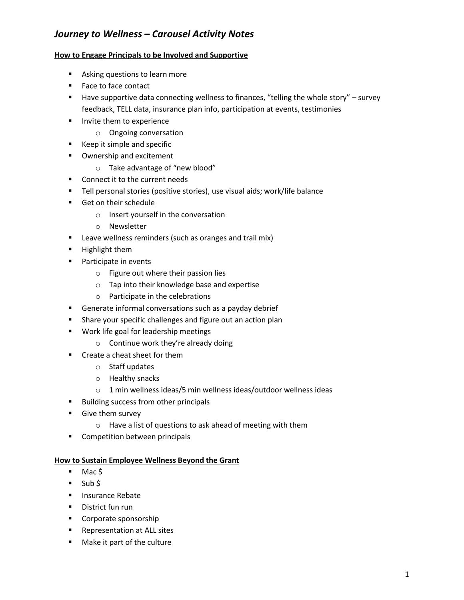### **How to Engage Principals to be Involved and Supportive**

- Asking questions to learn more
- Face to face contact
- Have supportive data connecting wellness to finances, "telling the whole story" survey feedback, TELL data, insurance plan info, participation at events, testimonies
- **Invite them to experience** 
	- o Ongoing conversation
- Keep it simple and specific
- **•** Ownership and excitement
	- o Take advantage of "new blood"
- **Connect it to the current needs**
- Tell personal stories (positive stories), use visual aids; work/life balance
- Get on their schedule
	- o Insert yourself in the conversation
	- o Newsletter
- **E** Leave wellness reminders (such as oranges and trail mix)
- **Highlight them**
- **Participate in events** 
	- o Figure out where their passion lies
	- o Tap into their knowledge base and expertise
	- o Participate in the celebrations
- **Generate informal conversations such as a payday debrief**
- **Share your specific challenges and figure out an action plan**
- **Work life goal for leadership meetings** 
	- o Continue work they're already doing
- Create a cheat sheet for them
	- o Staff updates
	- o Healthy snacks
	- o 1 min wellness ideas/5 min wellness ideas/outdoor wellness ideas
- Building success from other principals
- **Give them survey** 
	- o Have a list of questions to ask ahead of meeting with them
- **EXECOMPETE COMPETEION DETA COMPETEION** between principals

### **How to Sustain Employee Wellness Beyond the Grant**

- $-Mac$ \$
- $\overline{\phantom{a}}$  Sub \$
- **Insurance Rebate**
- **District fun run**
- **Corporate sponsorship**
- **Representation at ALL sites**
- **Make it part of the culture**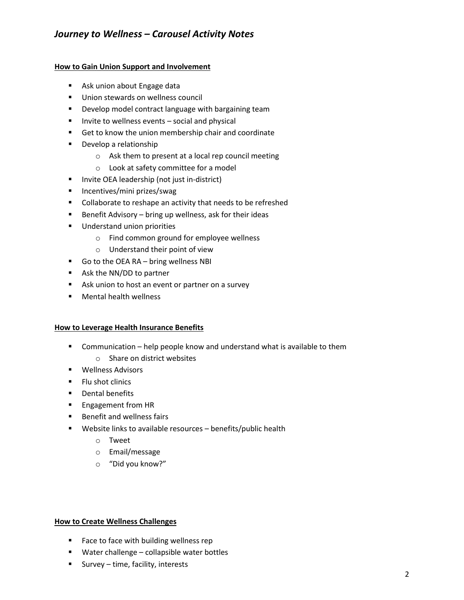### **How to Gain Union Support and Involvement**

- **Ask union about Engage data**
- Union stewards on wellness council
- **Develop model contract language with bargaining team**
- **Invite to wellness events social and physical**
- Get to know the union membership chair and coordinate
- **•** Develop a relationship
	- o Ask them to present at a local rep council meeting
	- o Look at safety committee for a model
- **Invite OEA leadership (not just in-district)**
- **Incentives/mini prizes/swag**
- **Collaborate to reshape an activity that needs to be refreshed**
- Benefit Advisory bring up wellness, ask for their ideas
- **Understand union priorities** 
	- o Find common ground for employee wellness
	- o Understand their point of view
- Go to the OEA RA bring wellness NBI
- Ask the NN/DD to partner
- Ask union to host an event or partner on a survey
- **Nental health wellness**

### **How to Leverage Health Insurance Benefits**

- **EXTER** Communication help people know and understand what is available to them
	- o Share on district websites
- **Wellness Advisors**
- **Filu shot clinics**
- **•** Dental benefits
- **Engagement from HR**
- **Benefit and wellness fairs**
- Website links to available resources benefits/public health
	- o Tweet
	- o Email/message
	- o "Did you know?"

#### **How to Create Wellness Challenges**

- **Face to face with building wellness rep**
- **Water challenge collapsible water bottles**
- Survey time, facility, interests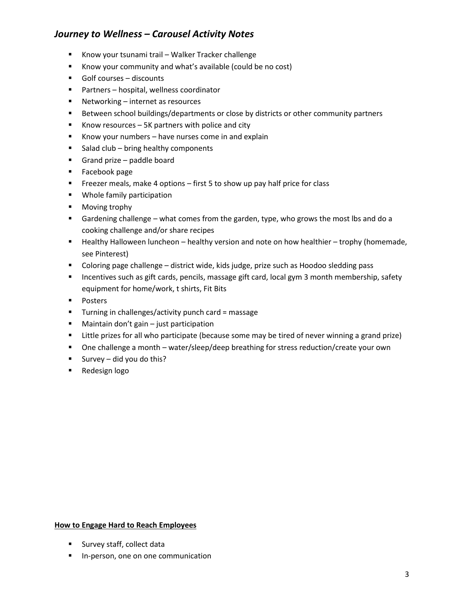- Know your tsunami trail Walker Tracker challenge
- Know your community and what's available (could be no cost)
- Golf courses discounts
- Partners hospital, wellness coordinator
- Networking internet as resources
- Between school buildings/departments or close by districts or other community partners
- Know resources  $-5K$  partners with police and city
- Know your numbers  $-$  have nurses come in and explain
- $\blacksquare$  Salad club bring healthy components
- Grand prize paddle board
- **Facebook page**
- **FIM** Freezer meals, make 4 options first 5 to show up pay half price for class
- **Whole family participation**
- **Moving trophy**
- Gardening challenge what comes from the garden, type, who grows the most lbs and do a cooking challenge and/or share recipes
- Healthy Halloween luncheon healthy version and note on how healthier trophy (homemade, see Pinterest)
- Coloring page challenge district wide, kids judge, prize such as Hoodoo sledding pass
- **Incentives such as gift cards, pencils, massage gift card, local gym 3 month membership, safety** equipment for home/work, t shirts, Fit Bits
- **Posters**
- **Turning in challenges/activity punch card = massage**
- $\blacksquare$  Maintain don't gain just participation
- **EXTE:** Little prizes for all who participate (because some may be tired of never winning a grand prize)
- One challenge a month water/sleep/deep breathing for stress reduction/create your own
- Survey did you do this?
- **Redesign logo**

### **How to Engage Hard to Reach Employees**

- **Survey staff, collect data**
- **In-person, one on one communication**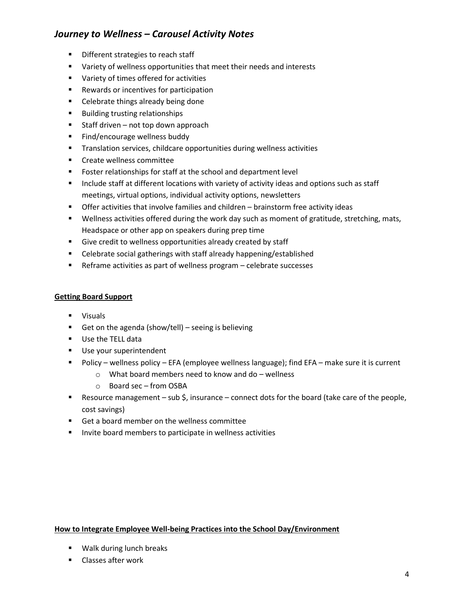- **Different strategies to reach staff**
- **URIGE Variety of wellness opportunities that meet their needs and interests**
- Variety of times offered for activities
- **Rewards or incentives for participation**
- Celebrate things already being done
- **Building trusting relationships**
- $\blacksquare$  Staff driven not top down approach
- **Find/encourage wellness buddy**
- **Translation services, childcare opportunities during wellness activities**
- **Create wellness committee**
- **Foster relationships for staff at the school and department level**
- **Include staff at different locations with variety of activity ideas and options such as staff** meetings, virtual options, individual activity options, newsletters
- Offer activities that involve families and children brainstorm free activity ideas
- Wellness activities offered during the work day such as moment of gratitude, stretching, mats, Headspace or other app on speakers during prep time
- Give credit to wellness opportunities already created by staff
- **EXP** Celebrate social gatherings with staff already happening/established
- Reframe activities as part of wellness program celebrate successes

### **Getting Board Support**

- **visuals**
- Get on the agenda (show/tell) seeing is believing
- Use the TELL data
- Use your superintendent
- Policy wellness policy EFA (employee wellness language); find EFA make sure it is current
	- o What board members need to know and do wellness
	- o Board sec from OSBA
- **Resource management sub \$, insurance connect dots for the board (take care of the people,** cost savings)
- Get a board member on the wellness committee
- **Invite board members to participate in wellness activities**

### **How to Integrate Employee Well-being Practices into the School Day/Environment**

- **Walk during lunch breaks**
- **E** Classes after work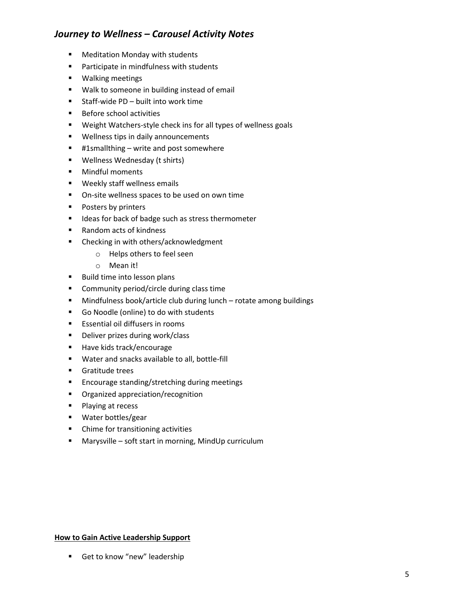- **Meditation Monday with students**
- **Participate in mindfulness with students**
- **Walking meetings**
- **Walk to someone in building instead of email**
- Staff-wide PD built into work time
- **Before school activities**
- Weight Watchers-style check ins for all types of wellness goals
- **Wellness tips in daily announcements**
- #1smallthing write and post somewhere
- **Wellness Wednesday (t shirts)**
- **•** Mindful moments
- **Weekly staff wellness emails**
- **•** On-site wellness spaces to be used on own time
- **Posters by printers**
- **If** Ideas for back of badge such as stress thermometer
- Random acts of kindness
- **EXEC** Checking in with others/acknowledgment
	- o Helps others to feel seen
	- o Mean it!
- Build time into lesson plans
- **EXECOMMUNITY period/circle during class time**
- Mindfulness book/article club during lunch rotate among buildings
- Go Noodle (online) to do with students
- **Example 1** Essential oil diffusers in rooms
- **Deliver prizes during work/class**
- Have kids track/encourage
- Water and snacks available to all, bottle-fill
- **Gratitude trees**
- **Encourage standing/stretching during meetings**
- **•** Organized appreciation/recognition
- **Playing at recess**
- **Water bottles/gear**
- Chime for transitioning activities
- Marysville soft start in morning, MindUp curriculum

#### **How to Gain Active Leadership Support**

Get to know "new" leadership